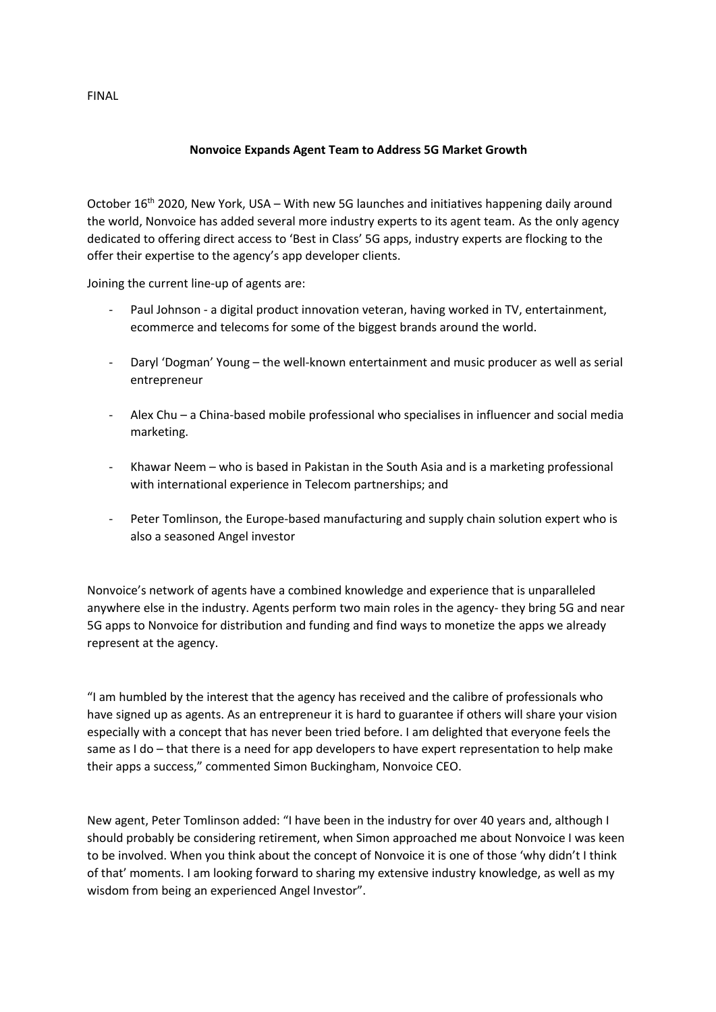## **Nonvoice Expands Agent Team to Address 5G Market Growth**

October 16<sup>th</sup> 2020, New York, USA – With new 5G launches and initiatives happening daily around the world, Nonvoice has added several more industry experts to its agent team. As the only agency dedicated to offering direct access to 'Best in Class' 5G apps, industry experts are flocking to the offer their expertise to the agency's app developer clients.

Joining the current line-up of agents are:

- Paul Johnson a digital product innovation veteran, having worked in TV, entertainment, ecommerce and telecoms for some of the biggest brands around the world.
- Daryl 'Dogman' Young the well-known entertainment and music producer as well as serial entrepreneur
- Alex Chu a China-based mobile professional who specialises in influencer and social media marketing.
- Khawar Neem who is based in Pakistan in the South Asia and is a marketing professional with international experience in Telecom partnerships; and
- Peter Tomlinson, the Europe-based manufacturing and supply chain solution expert who is also a seasoned Angel investor

Nonvoice's network of agents have a combined knowledge and experience that is unparalleled anywhere else in the industry. Agents perform two main roles in the agency- they bring 5G and near 5G apps to Nonvoice for distribution and funding and find ways to monetize the apps we already represent at the agency.

"I am humbled by the interest that the agency has received and the calibre of professionals who have signed up as agents. As an entrepreneur it is hard to guarantee if others will share your vision especially with a concept that has never been tried before. I am delighted that everyone feels the same as I do – that there is a need for app developers to have expert representation to help make their apps a success," commented Simon Buckingham, Nonvoice CEO.

New agent, Peter Tomlinson added: "I have been in the industry for over 40 years and, although I should probably be considering retirement, when Simon approached me about Nonvoice I was keen to be involved. When you think about the concept of Nonvoice it is one of those 'why didn't I think of that' moments. I am looking forward to sharing my extensive industry knowledge, as well as my wisdom from being an experienced Angel Investor".